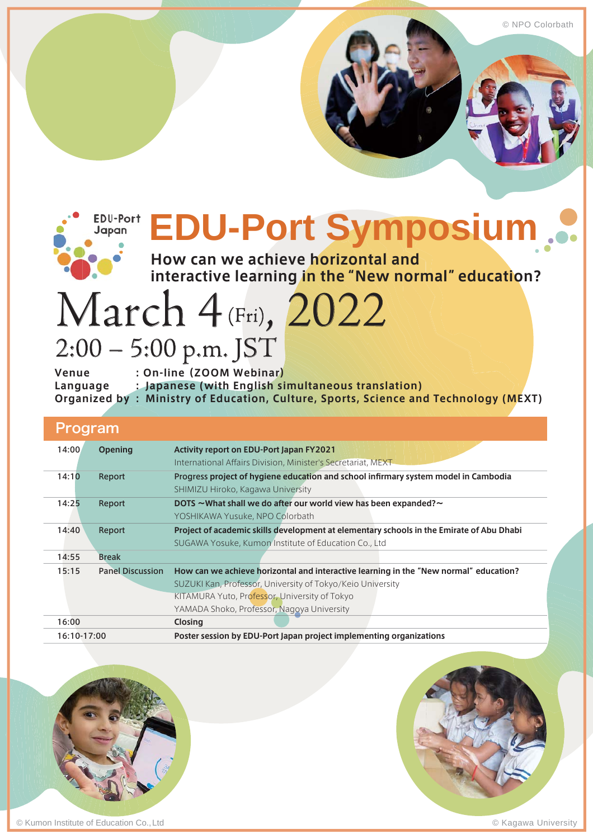© NPO Colorbath



# **EDU-Port Symposium**

**How can we achieve horizontal and interactive learning in the "New normal" education?**

# March 4 (Fri), 2022 2:00 – 5:00 p.m. JST

**Venue : On-line (ZOOM Webinar) Language : Japanese (with English simultaneous translation) Organized by : Ministry of Education, Culture, Sports, Science and Technology (MEXT)**

# Program

| 14:00       | <b>Opening</b>          | <b>Activity report on EDU-Port Japan FY2021</b><br>International Affairs Division, Minister's Secretariat, MEXT                                                                                                                                    |
|-------------|-------------------------|----------------------------------------------------------------------------------------------------------------------------------------------------------------------------------------------------------------------------------------------------|
| 14:10       | Report                  | Progress project of hygiene education and school infirmary system model in Cambodia<br>SHIMIZU Hiroko, Kagawa University                                                                                                                           |
| 14:25       | Report                  | DOTS ~ What shall we do after our world view has been expanded? ~<br>YOSHIKAWA Yusuke, NPO Colorbath                                                                                                                                               |
| 14:40       | Report                  | Project of academic skills development at elementary schools in the Emirate of Abu Dhabi<br>SUGAWA Yosuke, Kumon Institute of Education Co., Ltd                                                                                                   |
| 14:55       | <b>Break</b>            |                                                                                                                                                                                                                                                    |
| 15:15       | <b>Panel Discussion</b> | How can we achieve horizontal and interactive learning in the "New normal" education?<br>SUZUKI Kan, Professor, University of Tokyo/Keio University<br>KITAMURA Yuto, Professor, University of Tokyo<br>YAMADA Shoko, Professor, Nagoya University |
| 16:00       |                         | <b>Closing</b>                                                                                                                                                                                                                                     |
| 16:10-17:00 |                         | Poster session by EDU-Port Japan project implementing organizations                                                                                                                                                                                |